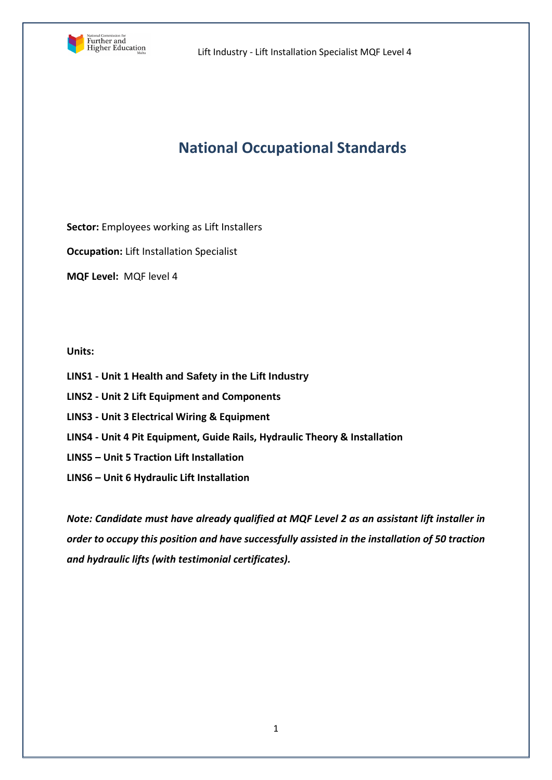

# **National Occupational Standards**

**Sector:** Employees working as Lift Installers

**Occupation:** Lift Installation Specialist

**MQF Level:** MQF level 4

## **Units:**

- **LINS1 - Unit 1 Health and Safety in the Lift Industry**
- **LINS2 - Unit 2 Lift Equipment and Components**
- **LINS3 - Unit 3 Electrical Wiring & Equipment**
- **LINS4 - Unit 4 Pit Equipment, Guide Rails, Hydraulic Theory & Installation**
- **LINS5 – Unit 5 Traction Lift Installation**
- **LINS6 – Unit 6 Hydraulic Lift Installation**

*Note: Candidate must have already qualified at MQF Level 2 as an assistant lift installer in order to occupy this position and have successfully assisted in the installation of 50 traction and hydraulic lifts (with testimonial certificates).*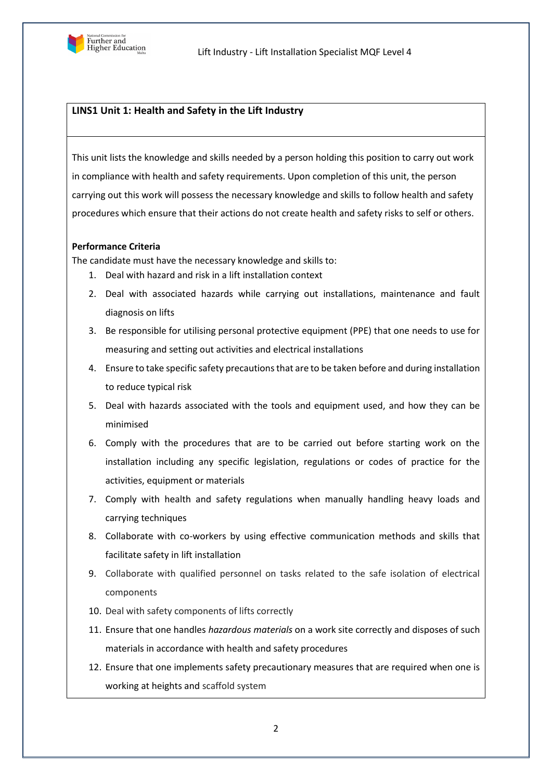

# **LINS1 Unit 1: Health and Safety in the Lift Industry**

This unit lists the knowledge and skills needed by a person holding this position to carry out work in compliance with health and safety requirements. Upon completion of this unit, the person carrying out this work will possess the necessary knowledge and skills to follow health and safety procedures which ensure that their actions do not create health and safety risks to self or others.

#### **Performance Criteria**

The candidate must have the necessary knowledge and skills to:

- 1. Deal with hazard and risk in a lift installation context
- 2. Deal with associated hazards while carrying out installations, maintenance and fault diagnosis on lifts
- 3. Be responsible for utilising personal protective equipment (PPE) that one needs to use for measuring and setting out activities and electrical installations
- 4. Ensure to take specific safety precautions that are to be taken before and during installation to reduce typical risk
- 5. Deal with hazards associated with the tools and equipment used, and how they can be minimised
- 6. Comply with the procedures that are to be carried out before starting work on the installation including any specific legislation, regulations or codes of practice for the activities, equipment or materials
- 7. Comply with health and safety regulations when manually handling heavy loads and carrying techniques
- 8. Collaborate with co-workers by using effective communication methods and skills that facilitate safety in lift installation
- 9. Collaborate with qualified personnel on tasks related to the safe isolation of electrical components
- 10. Deal with safety components of lifts correctly
- 11. Ensure that one handles *hazardous materials* on a work site correctly and disposes of such materials in accordance with health and safety procedures
- 12. Ensure that one implements safety precautionary measures that are required when one is working at heights and scaffold system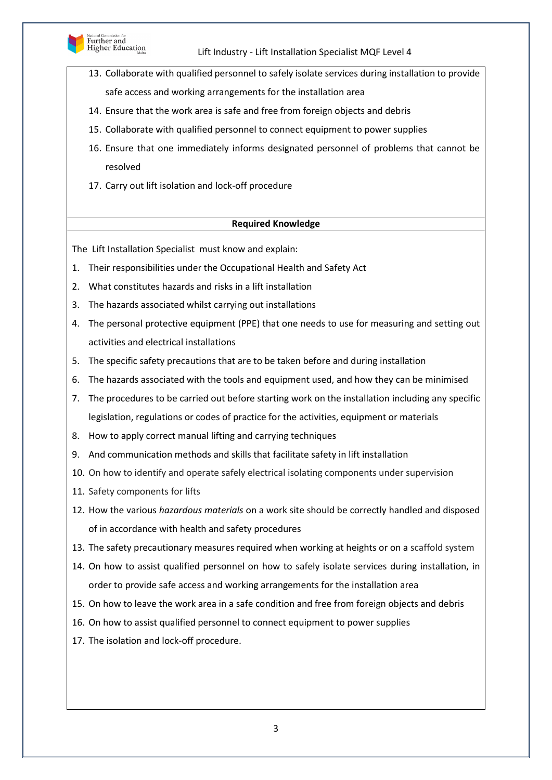

- 13. Collaborate with qualified personnel to safely isolate services during installation to provide safe access and working arrangements for the installation area
- 14. Ensure that the work area is safe and free from foreign objects and debris
- 15. Collaborate with qualified personnel to connect equipment to power supplies
- 16. Ensure that one immediately informs designated personnel of problems that cannot be resolved
- 17. Carry out lift isolation and lock-off procedure

## **Required Knowledge**

The Lift Installation Specialist must know and explain:

- 1. Their responsibilities under the Occupational Health and Safety Act
- 2. What constitutes hazards and risks in a lift installation
- 3. The hazards associated whilst carrying out installations
- 4. The personal protective equipment (PPE) that one needs to use for measuring and setting out activities and electrical installations
- 5. The specific safety precautions that are to be taken before and during installation
- 6. The hazards associated with the tools and equipment used, and how they can be minimised
- 7. The procedures to be carried out before starting work on the installation including any specific legislation, regulations or codes of practice for the activities, equipment or materials
- 8. How to apply correct manual lifting and carrying techniques
- 9. And communication methods and skills that facilitate safety in lift installation
- 10. On how to identify and operate safely electrical isolating components under supervision
- 11. Safety components for lifts
- 12. How the various *hazardous materials* on a work site should be correctly handled and disposed of in accordance with health and safety procedures
- 13. The safety precautionary measures required when working at heights or on a scaffold system
- 14. On how to assist qualified personnel on how to safely isolate services during installation, in order to provide safe access and working arrangements for the installation area
- 15. On how to leave the work area in a safe condition and free from foreign objects and debris
- 16. On how to assist qualified personnel to connect equipment to power supplies
- 17. The isolation and lock-off procedure.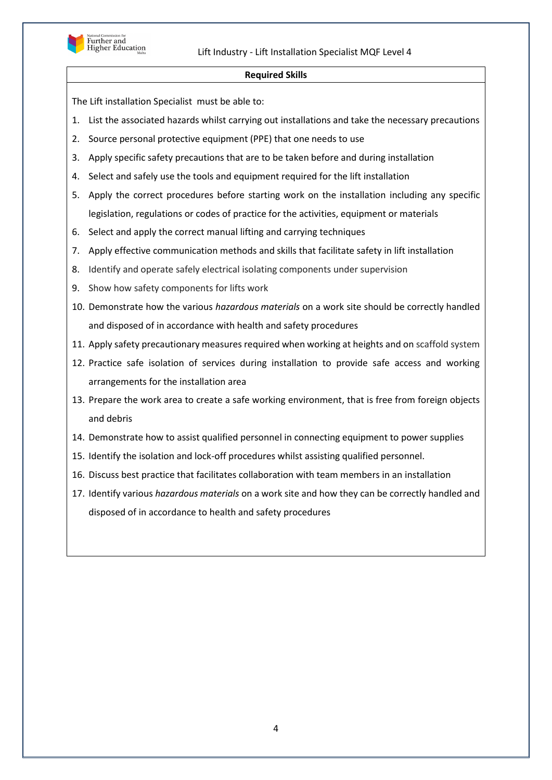

#### **Required Skills**

The Lift installation Specialist must be able to:

- 1. List the associated hazards whilst carrying out installations and take the necessary precautions
- 2. Source personal protective equipment (PPE) that one needs to use
- 3. Apply specific safety precautions that are to be taken before and during installation
- 4. Select and safely use the tools and equipment required for the lift installation
- 5. Apply the correct procedures before starting work on the installation including any specific legislation, regulations or codes of practice for the activities, equipment or materials
- 6. Select and apply the correct manual lifting and carrying techniques
- 7. Apply effective communication methods and skills that facilitate safety in lift installation
- 8. Identify and operate safely electrical isolating components under supervision
- 9. Show how safety components for lifts work
- 10. Demonstrate how the various *hazardous materials* on a work site should be correctly handled and disposed of in accordance with health and safety procedures
- 11. Apply safety precautionary measures required when working at heights and on scaffold system
- 12. Practice safe isolation of services during installation to provide safe access and working arrangements for the installation area
- 13. Prepare the work area to create a safe working environment, that is free from foreign objects and debris
- 14. Demonstrate how to assist qualified personnel in connecting equipment to power supplies
- 15. Identify the isolation and lock-off procedures whilst assisting qualified personnel.
- 16. Discuss best practice that facilitates collaboration with team members in an installation
- 17. Identify various *hazardous materials* on a work site and how they can be correctly handled and disposed of in accordance to health and safety procedures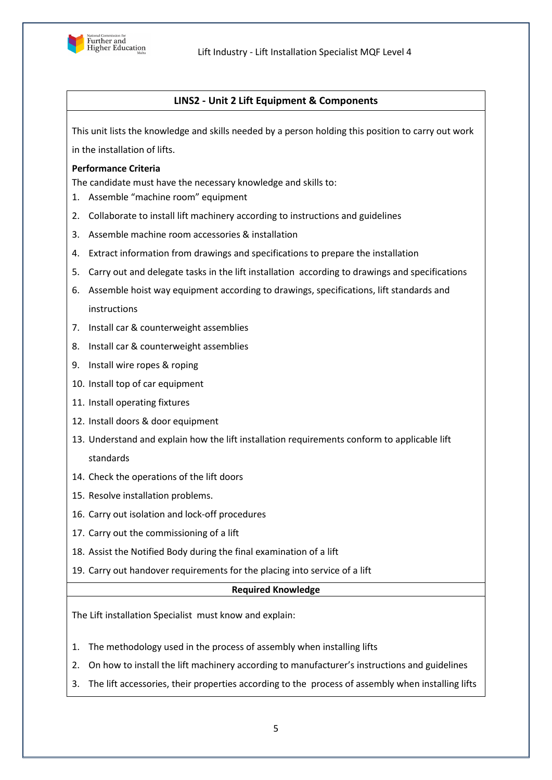

# **LINS2 - Unit 2 Lift Equipment & Components**

This unit lists the knowledge and skills needed by a person holding this position to carry out work in the installation of lifts.

#### **Performance Criteria**

The candidate must have the necessary knowledge and skills to:

- 1. Assemble "machine room" equipment
- 2. Collaborate to install lift machinery according to instructions and guidelines
- 3. Assemble machine room accessories & installation
- 4. Extract information from drawings and specifications to prepare the installation
- 5. Carry out and delegate tasks in the lift installation according to drawings and specifications
- 6. Assemble hoist way equipment according to drawings, specifications, lift standards and instructions
- 7. Install car & counterweight assemblies
- 8. Install car & counterweight assemblies
- 9. Install wire ropes & roping
- 10. Install top of car equipment
- 11. Install operating fixtures
- 12. Install doors & door equipment
- 13. Understand and explain how the lift installation requirements conform to applicable lift standards
- 14. Check the operations of the lift doors
- 15. Resolve installation problems.
- 16. Carry out isolation and lock-off procedures
- 17. Carry out the commissioning of a lift
- 18. Assist the Notified Body during the final examination of a lift
- 19. Carry out handover requirements for the placing into service of a lift

#### **Required Knowledge**

The Lift installation Specialist must know and explain:

- 1. The methodology used in the process of assembly when installing lifts
- 2. On how to install the lift machinery according to manufacturer's instructions and guidelines
- 3. The lift accessories, their properties according to the process of assembly when installing lifts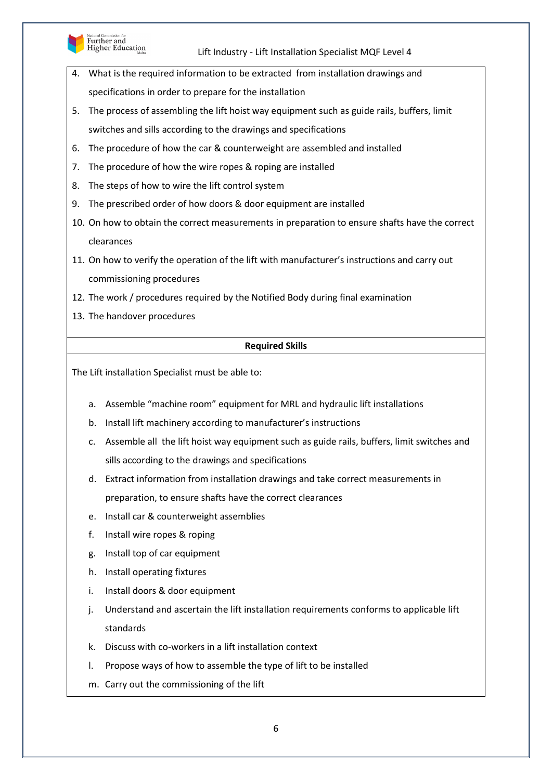

Further and<br>Higher Education

## Lift Industry - Lift Installation Specialist MQF Level 4

- 4. What is the required information to be extracted from installation drawings and specifications in order to prepare for the installation
- 5. The process of assembling the lift hoist way equipment such as guide rails, buffers, limit switches and sills according to the drawings and specifications
- 6. The procedure of how the car & counterweight are assembled and installed
- 7. The procedure of how the wire ropes & roping are installed
- 8. The steps of how to wire the lift control system
- 9. The prescribed order of how doors & door equipment are installed
- 10. On how to obtain the correct measurements in preparation to ensure shafts have the correct clearances
- 11. On how to verify the operation of the lift with manufacturer's instructions and carry out commissioning procedures
- 12. The work / procedures required by the Notified Body during final examination
- 13. The handover procedures

## **Required Skills**

The Lift installation Specialist must be able to:

- a. Assemble "machine room" equipment for MRL and hydraulic lift installations
- b. Install lift machinery according to manufacturer's instructions
- c. Assemble all the lift hoist way equipment such as guide rails, buffers, limit switches and sills according to the drawings and specifications
- d. Extract information from installation drawings and take correct measurements in preparation, to ensure shafts have the correct clearances
- e. Install car & counterweight assemblies
- f. Install wire ropes & roping
- g. Install top of car equipment
- h. Install operating fixtures
- i. Install doors & door equipment
- j. Understand and ascertain the lift installation requirements conforms to applicable lift standards
- k. Discuss with co-workers in a lift installation context
- l. Propose ways of how to assemble the type of lift to be installed
- m. Carry out the commissioning of the lift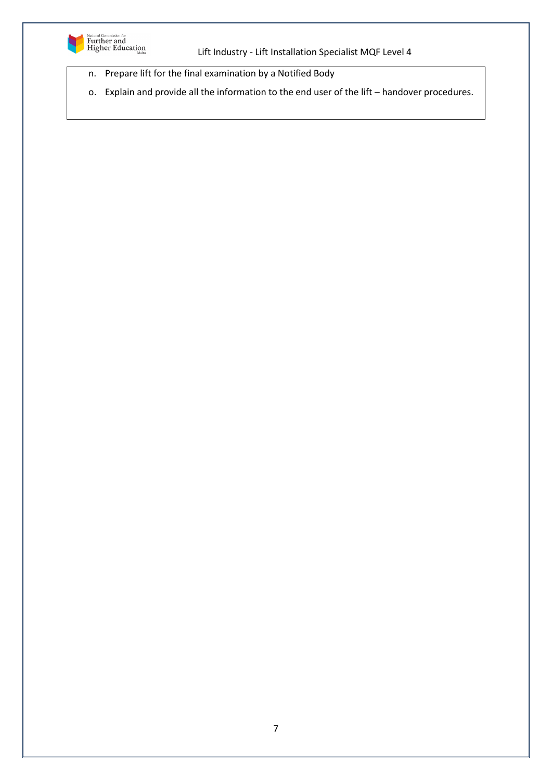

- n. Prepare lift for the final examination by a Notified Body
- o. Explain and provide all the information to the end user of the lift handover procedures.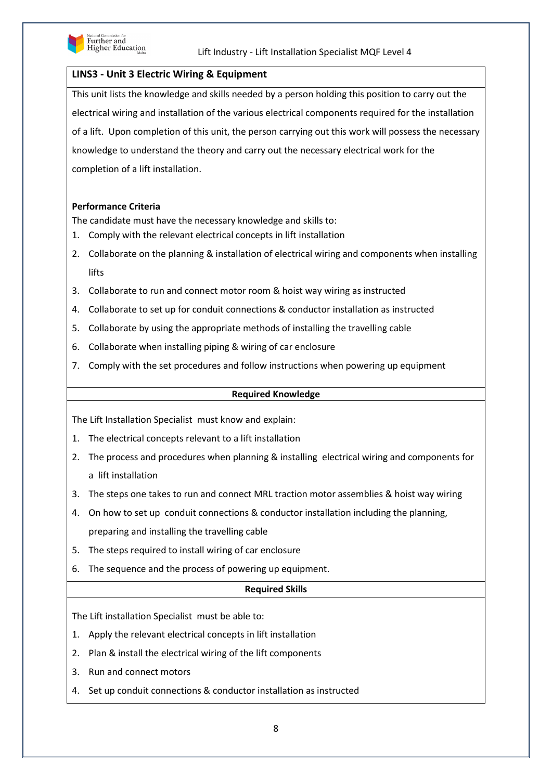

## **LINS3 - Unit 3 Electric Wiring & Equipment**

This unit lists the knowledge and skills needed by a person holding this position to carry out the electrical wiring and installation of the various electrical components required for the installation of a lift. Upon completion of this unit, the person carrying out this work will possess the necessary knowledge to understand the theory and carry out the necessary electrical work for the completion of a lift installation.

## **Performance Criteria**

The candidate must have the necessary knowledge and skills to:

- 1. Comply with the relevant electrical concepts in lift installation
- 2. Collaborate on the planning & installation of electrical wiring and components when installing lifts
- 3. Collaborate to run and connect motor room & hoist way wiring as instructed
- 4. Collaborate to set up for conduit connections & conductor installation as instructed
- 5. Collaborate by using the appropriate methods of installing the travelling cable
- 6. Collaborate when installing piping & wiring of car enclosure
- 7. Comply with the set procedures and follow instructions when powering up equipment

#### **Required Knowledge**

The Lift Installation Specialist must know and explain:

- 1. The electrical concepts relevant to a lift installation
- 2. The process and procedures when planning & installing electrical wiring and components for a lift installation
- 3. The steps one takes to run and connect MRL traction motor assemblies & hoist way wiring
- 4. On how to set up conduit connections & conductor installation including the planning, preparing and installing the travelling cable
- 5. The steps required to install wiring of car enclosure
- 6. The sequence and the process of powering up equipment.

#### **Required Skills**

The Lift installation Specialist must be able to:

- 1. Apply the relevant electrical concepts in lift installation
- 2. Plan & install the electrical wiring of the lift components
- 3. Run and connect motors
- 4. Set up conduit connections & conductor installation as instructed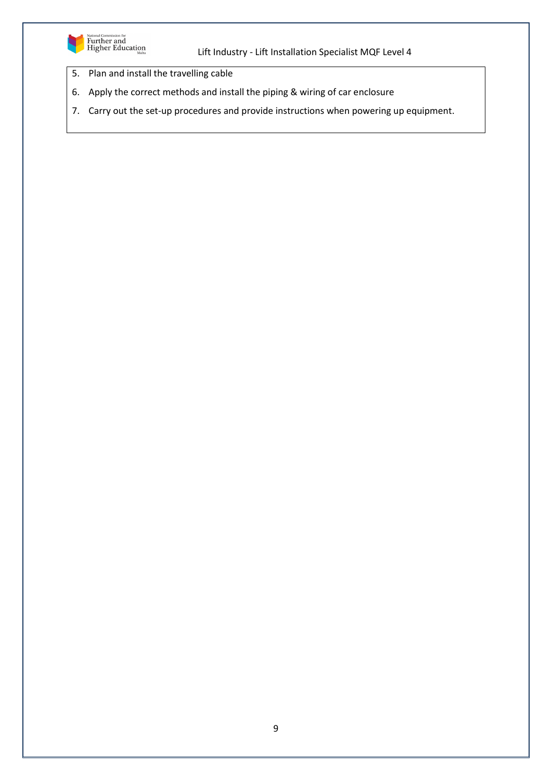

- 5. Plan and install the travelling cable
- 6. Apply the correct methods and install the piping & wiring of car enclosure
- 7. Carry out the set-up procedures and provide instructions when powering up equipment.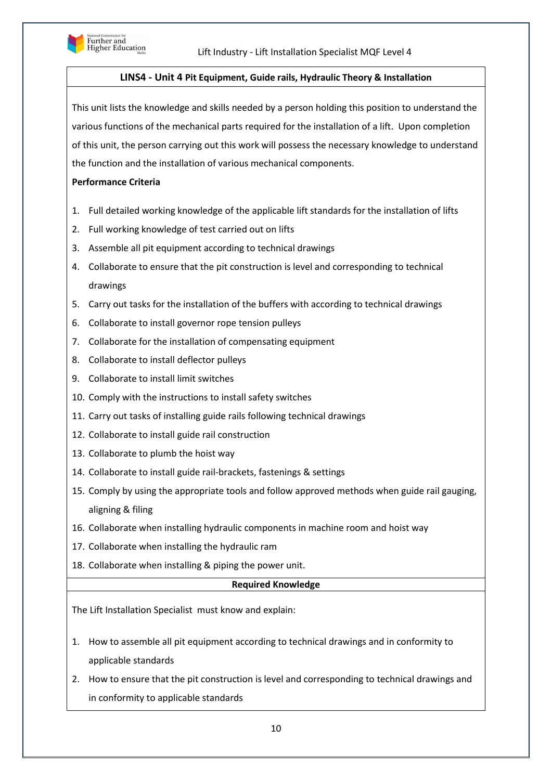

## **LINS4 - Unit 4 Pit Equipment, Guide rails, Hydraulic Theory & Installation**

This unit lists the knowledge and skills needed by a person holding this position to understand the various functions of the mechanical parts required for the installation of a lift. Upon completion of this unit, the person carrying out this work will possess the necessary knowledge to understand the function and the installation of various mechanical components.

#### **Performance Criteria**

- 1. Full detailed working knowledge of the applicable lift standards for the installation of lifts
- 2. Full working knowledge of test carried out on lifts
- 3. Assemble all pit equipment according to technical drawings
- 4. Collaborate to ensure that the pit construction is level and corresponding to technical drawings
- 5. Carry out tasks for the installation of the buffers with according to technical drawings
- 6. Collaborate to install governor rope tension pulleys
- 7. Collaborate for the installation of compensating equipment
- 8. Collaborate to install deflector pulleys
- 9. Collaborate to install limit switches
- 10. Comply with the instructions to install safety switches
- 11. Carry out tasks of installing guide rails following technical drawings
- 12. Collaborate to install guide rail construction
- 13. Collaborate to plumb the hoist way
- 14. Collaborate to install guide rail-brackets, fastenings & settings
- 15. Comply by using the appropriate tools and follow approved methods when guide rail gauging, aligning & filing
- 16. Collaborate when installing hydraulic components in machine room and hoist way
- 17. Collaborate when installing the hydraulic ram
- 18. Collaborate when installing & piping the power unit.

#### **Required Knowledge**

The Lift Installation Specialist must know and explain:

- 1. How to assemble all pit equipment according to technical drawings and in conformity to applicable standards
- 2. How to ensure that the pit construction is level and corresponding to technical drawings and in conformity to applicable standards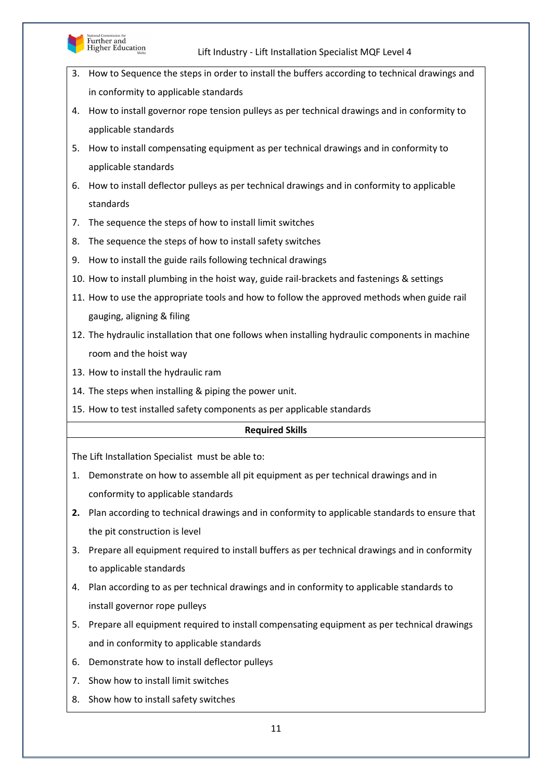

- 3. How to Sequence the steps in order to install the buffers according to technical drawings and in conformity to applicable standards
- 4. How to install governor rope tension pulleys as per technical drawings and in conformity to applicable standards
- 5. How to install compensating equipment as per technical drawings and in conformity to applicable standards
- 6. How to install deflector pulleys as per technical drawings and in conformity to applicable standards
- 7. The sequence the steps of how to install limit switches
- 8. The sequence the steps of how to install safety switches
- 9. How to install the guide rails following technical drawings
- 10. How to install plumbing in the hoist way, guide rail-brackets and fastenings & settings
- 11. How to use the appropriate tools and how to follow the approved methods when guide rail gauging, aligning & filing
- 12. The hydraulic installation that one follows when installing hydraulic components in machine room and the hoist way
- 13. How to install the hydraulic ram
- 14. The steps when installing & piping the power unit.
- 15. How to test installed safety components as per applicable standards

## **Required Skills**

The Lift Installation Specialist must be able to:

- 1. Demonstrate on how to assemble all pit equipment as per technical drawings and in conformity to applicable standards
- **2.** Plan according to technical drawings and in conformity to applicable standards to ensure that the pit construction is level
- 3. Prepare all equipment required to install buffers as per technical drawings and in conformity to applicable standards
- 4. Plan according to as per technical drawings and in conformity to applicable standards to install governor rope pulleys
- 5. Prepare all equipment required to install compensating equipment as per technical drawings and in conformity to applicable standards
- 6. Demonstrate how to install deflector pulleys
- 7. Show how to install limit switches
- 8. Show how to install safety switches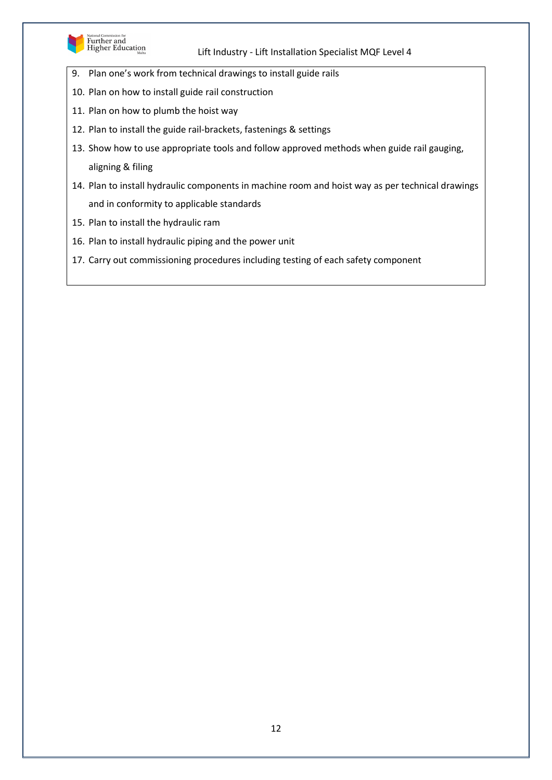

National Commission for<br>Further and<br>Higher Education

## Lift Industry - Lift Installation Specialist MQF Level 4

- 9. Plan one's work from technical drawings to install guide rails
- 10. Plan on how to install guide rail construction
- 11. Plan on how to plumb the hoist way
- 12. Plan to install the guide rail-brackets, fastenings & settings
- 13. Show how to use appropriate tools and follow approved methods when guide rail gauging, aligning & filing
- 14. Plan to install hydraulic components in machine room and hoist way as per technical drawings and in conformity to applicable standards
- 15. Plan to install the hydraulic ram
- 16. Plan to install hydraulic piping and the power unit
- 17. Carry out commissioning procedures including testing of each safety component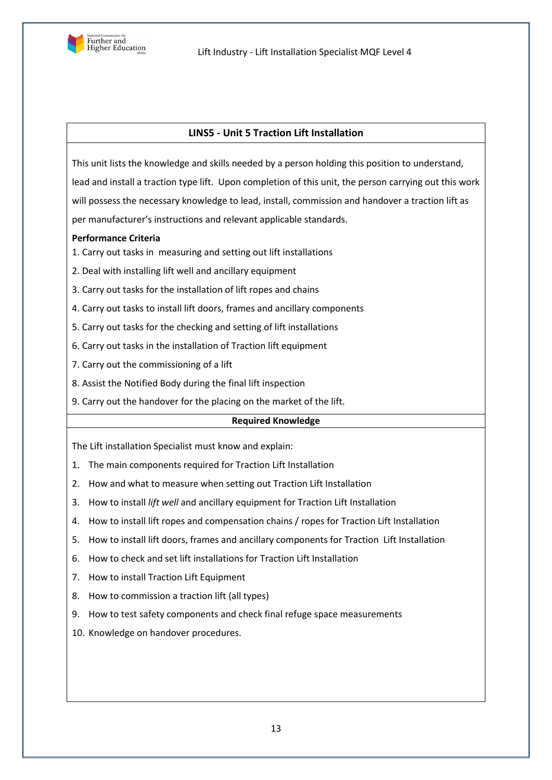

## **LINS5 - Unit 5 Traction Lift Installation**

This unit lists the knowledge and skills needed by a person holding this position to understand, lead and install a traction type lift. Upon completion of this unit, the person carrying out this work will possess the necessary knowledge to lead, install, commission and handover a traction lift as per manufacturer's instructions and relevant applicable standards.

## **Performance Criteria**

- 1. Carry out tasks in measuring and setting out lift installations
- 2. 2. Deal with installing lift well and ancillary equipment
- 3. 3. Carry out tasks for the installation of lift ropes and chains
- 4. Carry out tasks to install lift doors, frames and ancillary components
- 5. 5. Carry out tasks for the checking and setting of lift installations
- 6. 6. Carry out tasks in the installation of Traction lift equipment
- 7. Carry out the commissioning of a lift
- 8. Assist the Notified Body during the final lift inspection
- 9. Carry out the handover for the placing on the market of the lift.

#### **Required Knowledge**

The Lift installation Specialist must know and explain:

- 1. The main components required for Traction Lift Installation
- 2. How and what to measure when setting out Traction Lift Installation
- 3. How to install *lift well* and ancillary equipment for Traction Lift Installation
- 4. How to install lift ropes and compensation chains / ropes for Traction Lift Installation
- 5. How to install lift doors, frames and ancillary components for Traction Lift Installation
- 6. How to check and set lift installations for Traction Lift Installation
- 7. How to install Traction Lift Equipment
- 8. How to commission a traction lift (all types)
- 9. How to test safety components and check final refuge space measurements
- 10. Knowledge on handover procedures.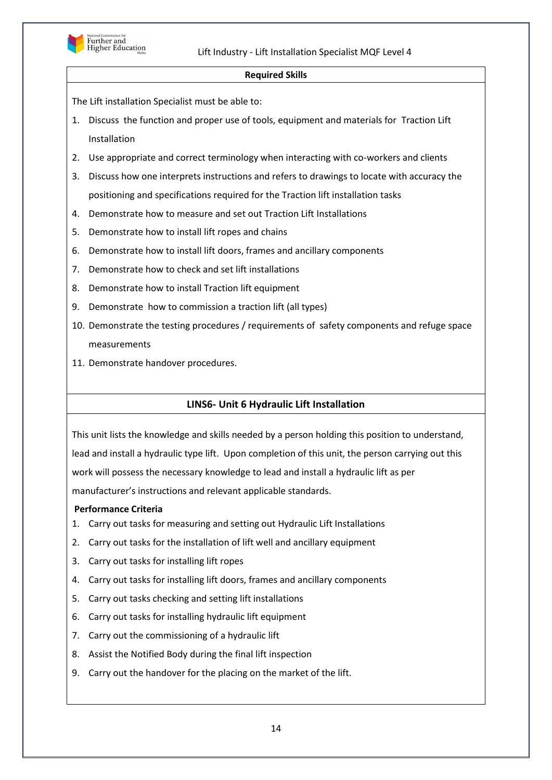

#### **Required Skills**

The Lift installation Specialist must be able to:

- 1. Discuss the function and proper use of tools, equipment and materials for Traction Lift Installation
- 2. Use appropriate and correct terminology when interacting with co-workers and clients
- 3. Discuss how one interprets instructions and refers to drawings to locate with accuracy the positioning and specifications required for the Traction lift installation tasks
- 4. Demonstrate how to measure and set out Traction Lift Installations
- 5. Demonstrate how to install lift ropes and chains
- 6. Demonstrate how to install lift doors, frames and ancillary components
- 7. Demonstrate how to check and set lift installations
- 8. Demonstrate how to install Traction lift equipment
- 9. Demonstrate how to commission a traction lift (all types)
- 10. Demonstrate the testing procedures / requirements of safety components and refuge space measurements
- 11. Demonstrate handover procedures.

# **LINS6- Unit 6 Hydraulic Lift Installation**

This unit lists the knowledge and skills needed by a person holding this position to understand, lead and install a hydraulic type lift. Upon completion of this unit, the person carrying out this work will possess the necessary knowledge to lead and install a hydraulic lift as per manufacturer's instructions and relevant applicable standards.

## **Performance Criteria**

- 1. Carry out tasks for measuring and setting out Hydraulic Lift Installations
- 2. Carry out tasks for the installation of lift well and ancillary equipment
- 3. Carry out tasks for installing lift ropes
- 4. Carry out tasks for installing lift doors, frames and ancillary components
- 5. Carry out tasks checking and setting lift installations
- 6. Carry out tasks for installing hydraulic lift equipment
- 7. Carry out the commissioning of a hydraulic lift
- 8. Assist the Notified Body during the final lift inspection
- 9. Carry out the handover for the placing on the market of the lift.